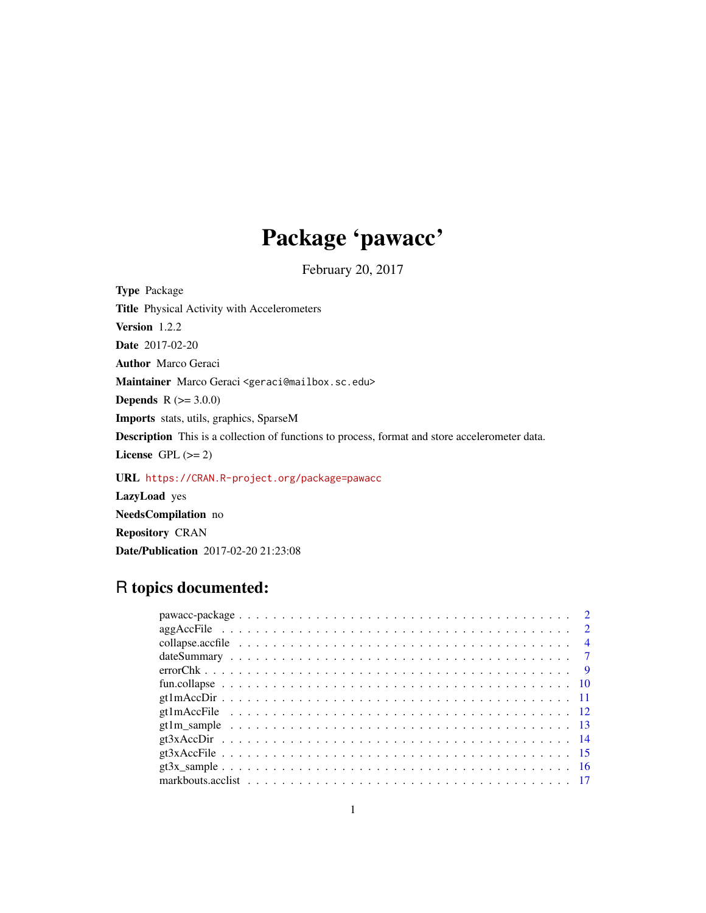## Package 'pawacc'

February 20, 2017

<span id="page-0-0"></span>Type Package Title Physical Activity with Accelerometers Version 1.2.2 Date 2017-02-20 Author Marco Geraci Maintainer Marco Geraci <geraci@mailbox.sc.edu> **Depends**  $R (= 3.0.0)$ Imports stats, utils, graphics, SparseM Description This is a collection of functions to process, format and store accelerometer data. License GPL  $(>= 2)$ URL <https://CRAN.R-project.org/package=pawacc> LazyLoad yes

NeedsCompilation no Repository CRAN

Date/Publication 2017-02-20 21:23:08

## R topics documented: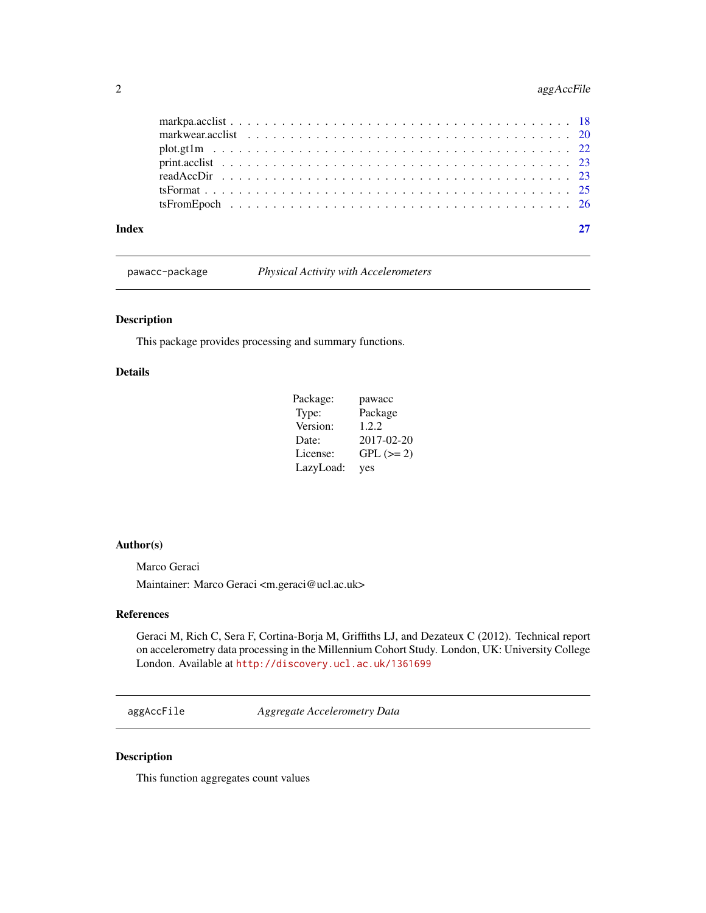## <span id="page-1-0"></span>2 agg AccFile

| Index |  |
|-------|--|
|       |  |
|       |  |
|       |  |
|       |  |
|       |  |
|       |  |
|       |  |

pawacc-package *Physical Activity with Accelerometers*

## Description

This package provides processing and summary functions.

## Details

| Package:  | pawacc     |
|-----------|------------|
| Type:     | Package    |
| Version:  | 1.2.2      |
| Date:     | 2017-02-20 |
| License:  | $GPL (=2)$ |
| LazyLoad: | yes        |

#### Author(s)

Marco Geraci Maintainer: Marco Geraci <m.geraci@ucl.ac.uk>

## References

Geraci M, Rich C, Sera F, Cortina-Borja M, Griffiths LJ, and Dezateux C (2012). Technical report on accelerometry data processing in the Millennium Cohort Study. London, UK: University College London. Available at <http://discovery.ucl.ac.uk/1361699>

aggAccFile *Aggregate Accelerometry Data*

## Description

This function aggregates count values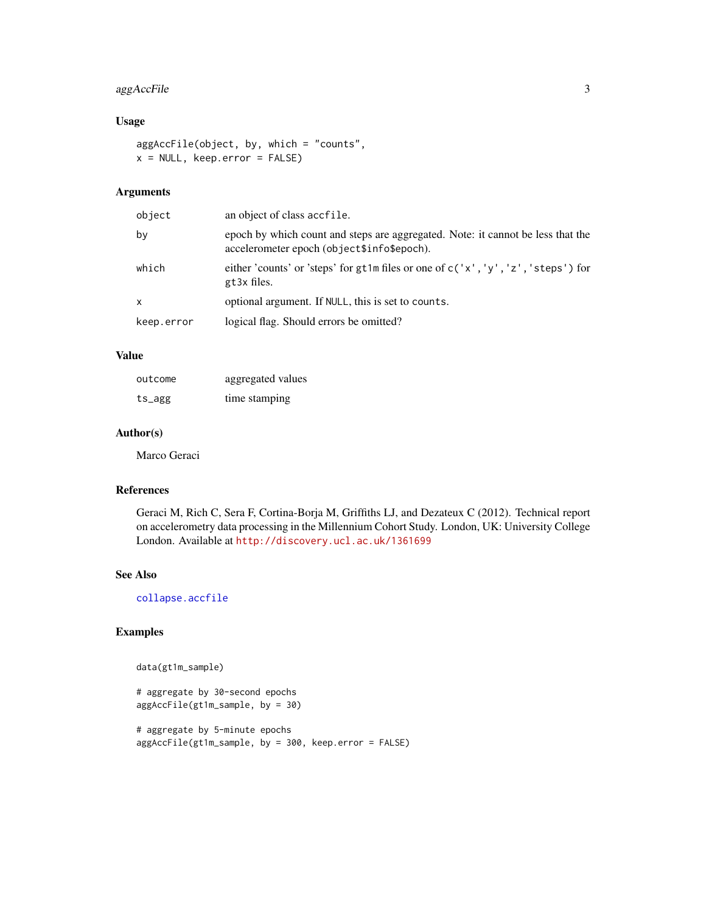## <span id="page-2-0"></span>aggAccFile 3

## Usage

```
aggAccFile(object, by, which = "counts",
x = NULL, keep.error = FALSE)
```
## Arguments

| object     | an object of class accfile.                                                                                                   |
|------------|-------------------------------------------------------------------------------------------------------------------------------|
| bv         | epoch by which count and steps are aggregated. Note: it cannot be less that the<br>accelerometer epoch (object\$info\$epoch). |
| which      | either 'counts' or 'steps' for gt1m files or one of $c('x', 'y', 'z', 'steps')$ for<br>gt3x files.                            |
| x          | optional argument. If NULL, this is set to counts.                                                                            |
| keep.error | logical flag. Should errors be omitted?                                                                                       |

## Value

| outcome | aggregated values |
|---------|-------------------|
| ts_agg  | time stamping     |

## Author(s)

Marco Geraci

#### References

Geraci M, Rich C, Sera F, Cortina-Borja M, Griffiths LJ, and Dezateux C (2012). Technical report on accelerometry data processing in the Millennium Cohort Study. London, UK: University College London. Available at <http://discovery.ucl.ac.uk/1361699>

#### See Also

[collapse.accfile](#page-3-1)

## Examples

```
data(gt1m_sample)
```

```
# aggregate by 30-second epochs
aggAccFile(gt1m_sample, by = 30)
```

```
# aggregate by 5-minute epochs
aggAccFile(gt1m_sample, by = 300, keep.error = FALSE)
```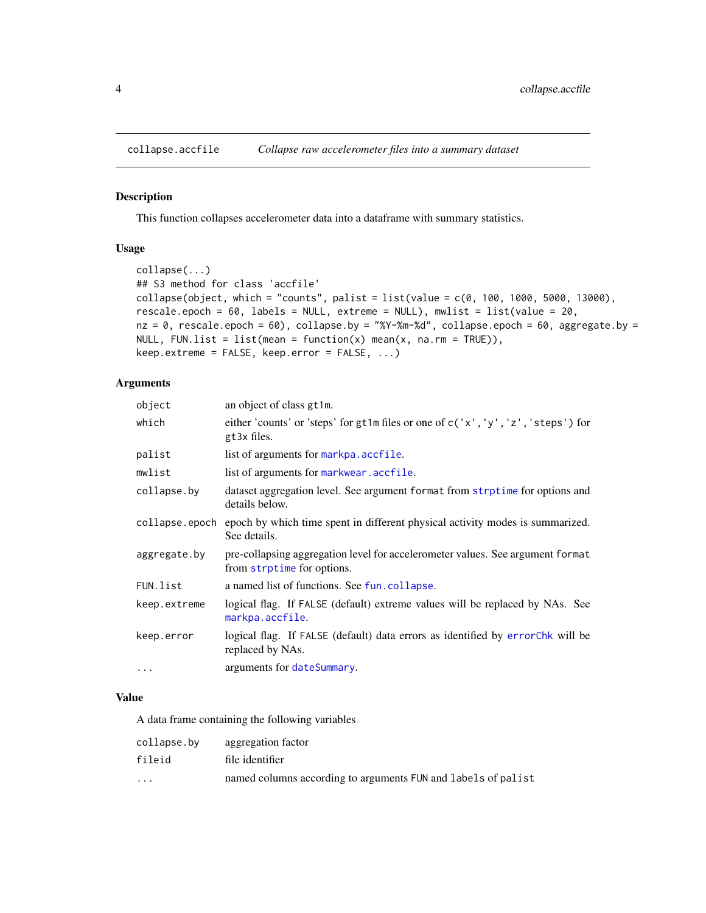<span id="page-3-1"></span><span id="page-3-0"></span>

#### Description

This function collapses accelerometer data into a dataframe with summary statistics.

#### Usage

```
collapse(...)
## S3 method for class 'accfile'
collapse(object, which = "counts", palist = list(value = c(0, 100, 1000, 5000, 13000),
rescale.epoch = 60, labels = NULL, extreme = NULL), mwlist = list(value = 20,
nz = 0, rescale.epoch = 60), collapse.by = "%Y-%m-%d", collapse.epoch = 60, aggregate.by =
NULL, FUN.list = list(mean = function(x) mean(x, na.rm = TRUE)),
keep.extreme = FALSE, keep.error = FALSE, ...)
```
#### Arguments

| object         | an object of class gt1m.                                                                                     |
|----------------|--------------------------------------------------------------------------------------------------------------|
| which          | either 'counts' or 'steps' for gt1m files or one of c('x', 'y', 'z', 'steps') for<br>gt3x files.             |
| palist         | list of arguments for markpa.accfile.                                                                        |
| mwlist         | list of arguments for markwear. accfile.                                                                     |
| collapse.by    | dataset aggregation level. See argument format from strptime for options and<br>details below.               |
| collapse.epoch | epoch by which time spent in different physical activity modes is summarized.<br>See details.                |
| aggregate.by   | pre-collapsing aggregation level for accelerometer values. See argument format<br>from strptime for options. |
| FUN.list       | a named list of functions. See fun. collapse.                                                                |
| keep.extreme   | logical flag. If FALSE (default) extreme values will be replaced by NAs. See<br>markpa.accfile.              |
| keep.error     | logical flag. If FALSE (default) data errors as identified by errorChk will be<br>replaced by NAs.           |
| $\cdots$       | arguments for dateSummary.                                                                                   |

#### Value

A data frame containing the following variables

| collapse.bv             | aggregation factor                                            |
|-------------------------|---------------------------------------------------------------|
| fileid                  | file identifier                                               |
| $\cdot$ $\cdot$ $\cdot$ | named columns according to arguments FUN and labels of palist |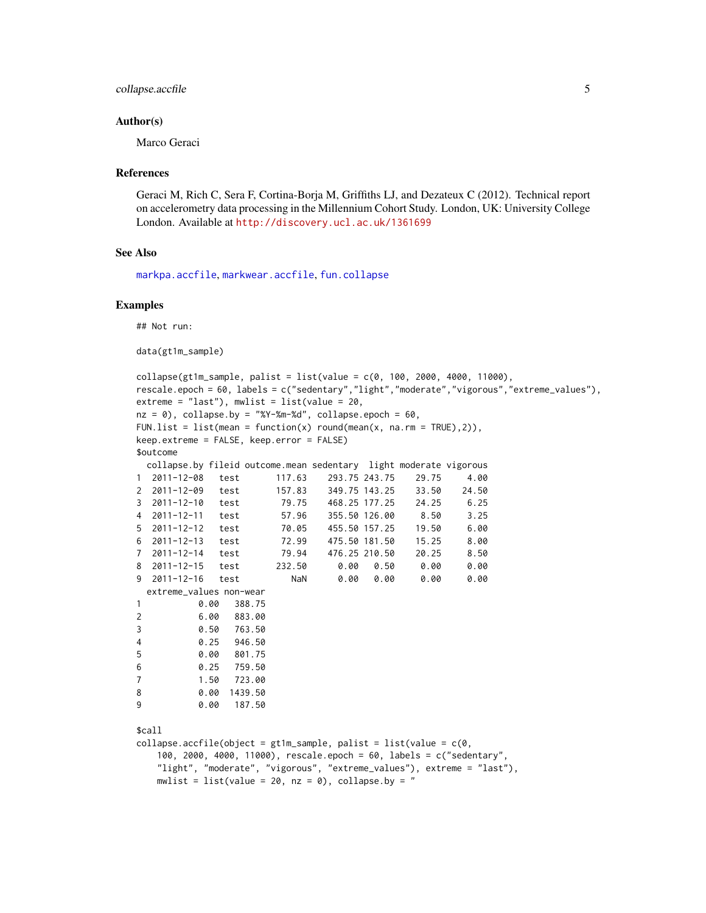#### <span id="page-4-0"></span>collapse.accfile 5

#### Author(s)

Marco Geraci

#### References

Geraci M, Rich C, Sera F, Cortina-Borja M, Griffiths LJ, and Dezateux C (2012). Technical report on accelerometry data processing in the Millennium Cohort Study. London, UK: University College London. Available at <http://discovery.ucl.ac.uk/1361699>

## See Also

[markpa.accfile](#page-17-1), [markwear.accfile](#page-19-1), [fun.collapse](#page-9-1)

#### Examples

## Not run:

data(gt1m\_sample)

```
collapse(gt1m\_sample, palist = list(value = c(0, 100, 2000, 4000, 11000),rescale.epoch = 60, labels = c("sedentary","light","moderate","vigorous","extreme_values"),
extreme = "last"), mwlist = list(value = 20,
nz = 0, collapse.by = "%Y-%m-%d", collapse.epoch = 60,
FUN.list = list(mean = function(x) round(mean(x, na.rm = TRUE),2)),
keep.extreme = FALSE, keep.error = FALSE)
$outcome
 collapse.by fileid outcome.mean sedentary light moderate vigorous
1 2011-12-08 test 117.63 293.75 243.75 29.75 4.00
2 2011-12-09 test 157.83 349.75 143.25 33.50 24.50
3 2011-12-10 test 79.75 468.25 177.25 24.25 6.25
4 2011-12-11 test 57.96 355.50 126.00 8.50 3.25
5 2011-12-12 test 70.05 455.50 157.25 19.50 6.00
6 2011-12-13 test 72.99 475.50 181.50 15.25 8.00
7 2011-12-14 test 79.94 476.25 210.50 20.25 8.50
8 2011-12-15 test 232.50 0.00 0.50 0.00 0.00
9 2011-12-16 test NaN 0.00 0.00 0.00 0.00
 extreme_values non-wear
1 0.00 388.75
2 6.00 883.00
3 0.50 763.50
4 0.25 946.50
5 0.00 801.75
6 0.25 759.50
7 1.50 723.00
8 0.00 1439.50
9 0.00 187.50
$call
collapse.accfile(object = gt1m_sample, palist = list(value = c(0,100, 2000, 4000, 11000), rescale.epoch = 60, labels = c("sedentary",
   "light", "moderate", "vigorous", "extreme_values"), extreme = "last"),
   mwlist = list(value = 20, nz = 0), collapse.by = "
```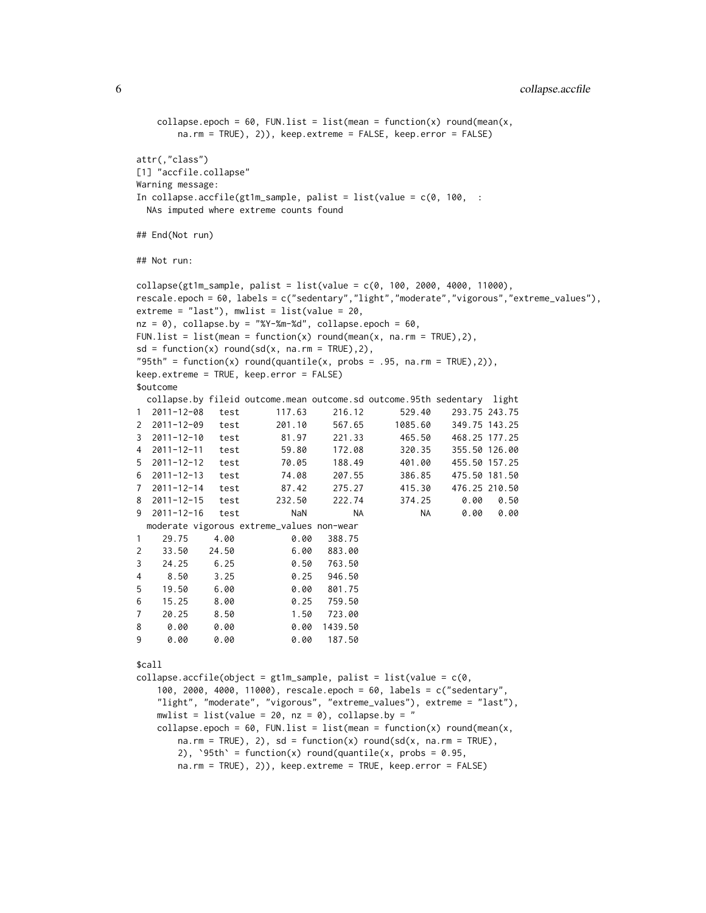```
collapse.epoch = 60, FUN.list = list(mean = function(x) round(mean(x,
      na.rm = TRUE), 2)), keep.extreme = FALSE, keep.error = FALSE)
attr(,"class")
[1] "accfile.collapse"
Warning message:
In collapse.accfile(gt1m_sample, palist = list(value = c(0, 100, :NAs imputed where extreme counts found
## End(Not run)
## Not run:
collapse(gt1m\_sample, palist = list(value = c(0, 100, 2000, 4000, 11000),rescale.epoch = 60, labels = c("sedentary","light","moderate","vigorous","extreme_values"),
extreme = "last"), mwlist = list(value = 20,
nz = 0, collapse.by = "%Y-%m-%d", collapse.epoch = 60,
FUN.list = list(mean = function(x) round(mean(x, na.rm = TRUE),2),
sd = function(x) round(sd(x, na.rm = TRUE),2),
"95th" = function(x) round(quantile(x, probs = .95, na.rm = TRUE),2)),
keep.extreme = TRUE, keep.error = FALSE)
$outcome
 collapse.by fileid outcome.mean outcome.sd outcome.95th sedentary light
1 2011-12-08 test 117.63 216.12 529.40 293.75 243.75
2 2011-12-09 test 201.10 567.65 1085.60 349.75 143.25
3 2011-12-10 test 81.97 221.33 465.50 468.25 177.25
4 2011-12-11 test 59.80 172.08 320.35 355.50 126.00
5 2011-12-12 test 70.05 188.49 401.00 455.50 157.25
6 2011-12-13 test 74.08 207.55 386.85 475.50 181.50
7 2011-12-14 test 87.42 275.27 415.30 476.25 210.50
8 2011-12-15 test 232.50 222.74 374.25 0.00 0.50
9 2011-12-16 test NaN NA NA 0.00 0.00
 moderate vigorous extreme_values non-wear
1 29.75 4.00 0.00 388.75
2 33.50 24.50 6.00 883.00
3 24.25 6.25 0.50 763.50
4 8.50 3.25 0.25 946.50
5 19.50 6.00 0.00 801.75
6 15.25 8.00 0.25 759.50
7 20.25 8.50 1.50 723.00
8 0.00 0.00 0.00 1439.50
9 0.00 0.00 0.00 187.50
$call
collapse.accfile(object = gt1m_sample, palist = list(value = c(0,100, 2000, 4000, 11000), rescale.epoch = 60, labels = c("sedentary",
   "light", "moderate", "vigorous", "extreme_values"), extreme = "last"),
   mwlist = list(value = 20, nz = 0), collapse.by = "
```
collapse.epoch = 60, FUN.list = list(mean = function(x) round(mean(x,  $na.rm = TRUE$ , 2), sd = function(x) round(sd(x, na.rm = TRUE), 2), '95th' = function(x) round(quantile(x, probs =  $0.95$ , na.rm = TRUE), 2)), keep.extreme = TRUE, keep.error = FALSE)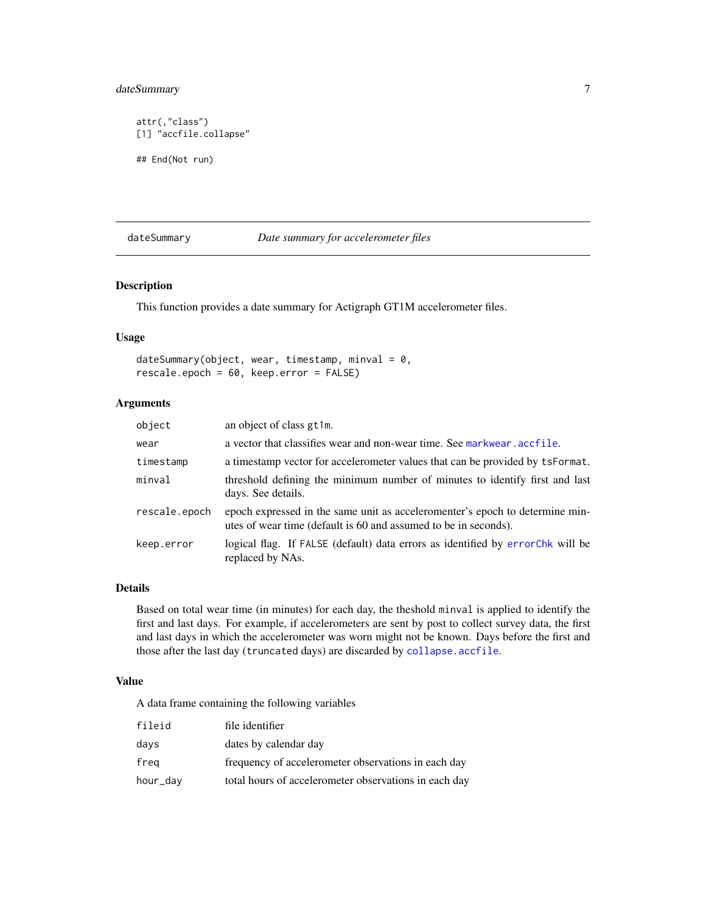## <span id="page-6-0"></span>dateSummary 7

```
attr(,"class")
[1] "accfile.collapse"
## End(Not run)
```
#### <span id="page-6-1"></span>dateSummary *Date summary for accelerometer files*

## Description

This function provides a date summary for Actigraph GT1M accelerometer files.

#### Usage

```
dateSummary(object, wear, timestamp, minval = 0,
rescale.epoch = 60, keep.error = FALSE)
```
## Arguments

| object        | an object of class gt1m.                                                                                                                        |
|---------------|-------------------------------------------------------------------------------------------------------------------------------------------------|
| wear          | a vector that classifies wear and non-wear time. See markwear, accfile.                                                                         |
| timestamp     | a timestamp vector for accelerometer values that can be provided by tsFormat.                                                                   |
| minval        | threshold defining the minimum number of minutes to identify first and last<br>days. See details.                                               |
| rescale.epoch | epoch expressed in the same unit as acceleromenter's epoch to determine min-<br>utes of wear time (default is 60 and assumed to be in seconds). |
| keep.error    | logical flag. If FALSE (default) data errors as identified by errorChk will be<br>replaced by NAs.                                              |

#### Details

Based on total wear time (in minutes) for each day, the theshold minval is applied to identify the first and last days. For example, if accelerometers are sent by post to collect survey data, the first and last days in which the accelerometer was worn might not be known. Days before the first and those after the last day (truncated days) are discarded by [collapse.accfile](#page-3-1).

#### Value

A data frame containing the following variables

| fileid   | file identifier                                       |
|----------|-------------------------------------------------------|
| days     | dates by calendar day                                 |
| freg     | frequency of accelerometer observations in each day   |
| hour_day | total hours of accelerometer observations in each day |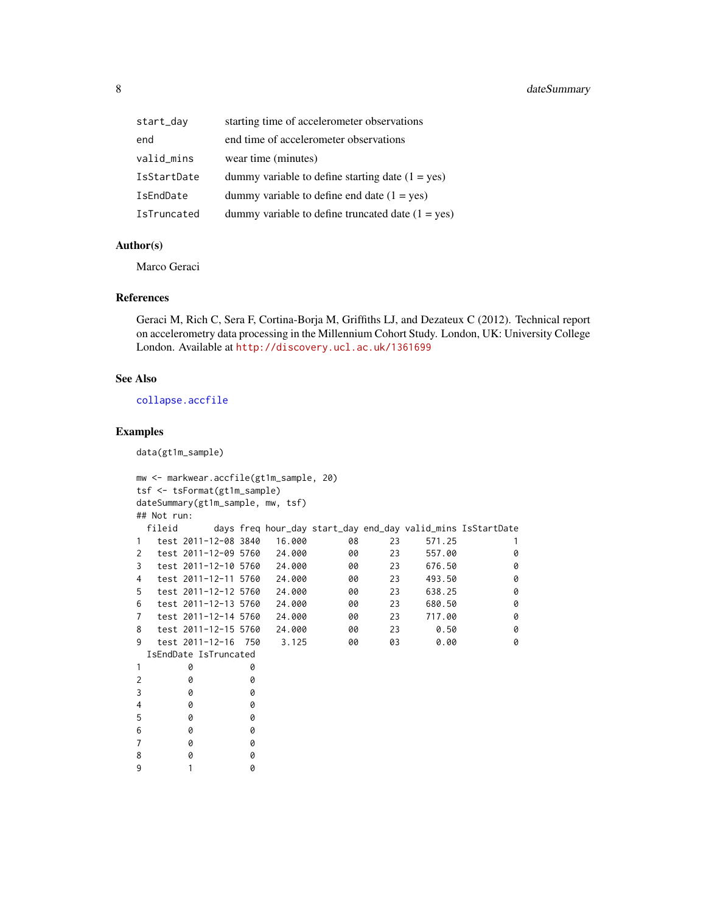<span id="page-7-0"></span>

| start_day   | starting time of accelerometer observations         |
|-------------|-----------------------------------------------------|
| end         | end time of accelerometer observations              |
| valid_mins  | wear time (minutes)                                 |
| IsStartDate | dummy variable to define starting date $(1 = yes)$  |
| IsEndDate   | dummy variable to define end date $(1 = yes)$       |
| IsTruncated | dummy variable to define truncated date $(1 = yes)$ |

#### Author(s)

Marco Geraci

#### References

Geraci M, Rich C, Sera F, Cortina-Borja M, Griffiths LJ, and Dezateux C (2012). Technical report on accelerometry data processing in the Millennium Cohort Study. London, UK: University College London. Available at <http://discovery.ucl.ac.uk/1361699>

#### See Also

[collapse.accfile](#page-3-1)

#### Examples

data(gt1m\_sample)

```
mw <- markwear.accfile(gt1m_sample, 20)
tsf <- tsFormat(gt1m_sample)
dateSummary(gt1m_sample, mw, tsf)
## Not run:
 fileid days freq hour_day start_day end_day valid_mins IsStartDate
1 test 2011-12-08 3840 16.000 08 23 571.25 1
2 test 2011-12-09 5760 24.000 00 23 557.00 0
3 test 2011-12-10 5760 24.000 00 23 676.50 0
4 test 2011-12-11 5760 24.000 00 23 493.50 0
5 test 2011-12-12 5760 24.000 00 23 638.25 0
6 test 2011-12-13 5760 24.000 00 23 680.50 0
7 test 2011-12-14 5760 24.000 00 23 717.00 0
8 test 2011-12-15 5760 24.000 00 23 0.50 0
9 test 2011-12-16 750 3.125 00 03 0.00 0
 IsEndDate IsTruncated
1 0 0
2 0 0
3 0 0
4 0 0
5 0 0
6 0 0
7 0 0
8 0 0
9 1 0
```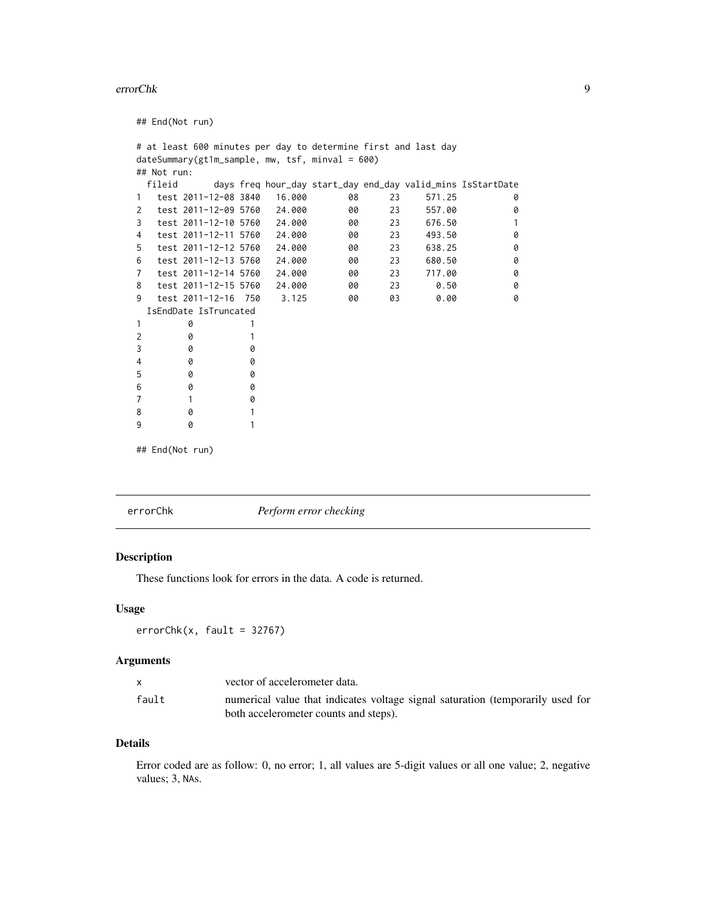#### <span id="page-8-0"></span>errorChk 99

## End(Not run) # at least 600 minutes per day to determine first and last day dateSummary(gt1m\_sample, mw, tsf, minval = 600) ## Not run: fileid days freq hour\_day start\_day end\_day valid\_mins IsStartDate 1 test 2011-12-08 3840 16.000 08 23 571.25 0 2 test 2011-12-09 5760 24.000 00 23 557.00 0 3 test 2011-12-10 5760 24.000 00 23 676.50 1 4 test 2011-12-11 5760 24.000 00 23 493.50 0 5 test 2011-12-12 5760 24.000 00 23 638.25 0 6 test 2011-12-13 5760 24.000 00 23 680.50 0 7 test 2011-12-14 5760 24.000 00 23 717.00 0 8 test 2011-12-15 5760 24.000 00 23 0.50 0 9 test 2011-12-16 750 3.125 00 03 0.00 0 IsEndDate IsTruncated 1 0 1 2 0 1 3 0 0 4 0 0 5 0 0 6 0 0 7 1 0 8 0 1 9 0 1

## End(Not run)

<span id="page-8-1"></span>

errorChk *Perform error checking*

#### Description

These functions look for errors in the data. A code is returned.

#### Usage

```
errorChk(x, fault = 32767)
```
#### Arguments

|       | vector of accelerometer data.                                                  |
|-------|--------------------------------------------------------------------------------|
| fault | numerical value that indicates voltage signal saturation (temporarily used for |
|       | both accelerometer counts and steps).                                          |

## Details

Error coded are as follow: 0, no error; 1, all values are 5-digit values or all one value; 2, negative values; 3, NAs.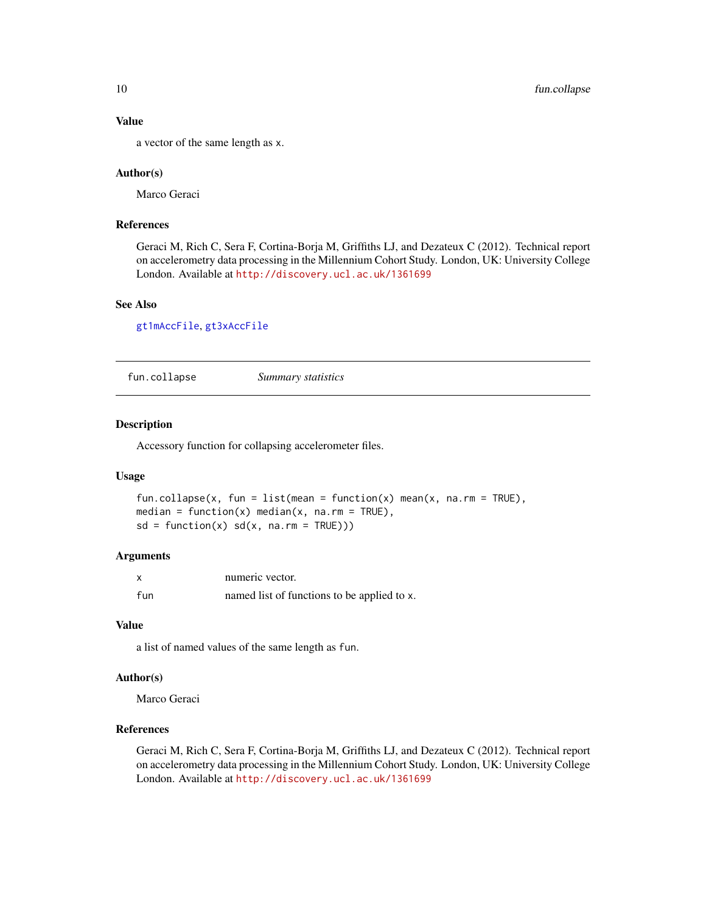## Value

a vector of the same length as x.

#### Author(s)

Marco Geraci

#### References

Geraci M, Rich C, Sera F, Cortina-Borja M, Griffiths LJ, and Dezateux C (2012). Technical report on accelerometry data processing in the Millennium Cohort Study. London, UK: University College London. Available at <http://discovery.ucl.ac.uk/1361699>

## See Also

[gt1mAccFile](#page-11-1), [gt3xAccFile](#page-14-1)

<span id="page-9-1"></span>fun.collapse *Summary statistics*

## Description

Accessory function for collapsing accelerometer files.

#### Usage

```
fun.collapse(x, fun = list(mean = function(x) mean(x, na.rm = TRUE),
median = function(x) median(x, na.rm = TRUE),
sd = function(x) sd(x, na.rm = TRUE))
```
#### Arguments

| X   | numeric vector.                             |
|-----|---------------------------------------------|
| fun | named list of functions to be applied to x. |

#### Value

a list of named values of the same length as fun.

#### Author(s)

Marco Geraci

## References

Geraci M, Rich C, Sera F, Cortina-Borja M, Griffiths LJ, and Dezateux C (2012). Technical report on accelerometry data processing in the Millennium Cohort Study. London, UK: University College London. Available at <http://discovery.ucl.ac.uk/1361699>

<span id="page-9-0"></span>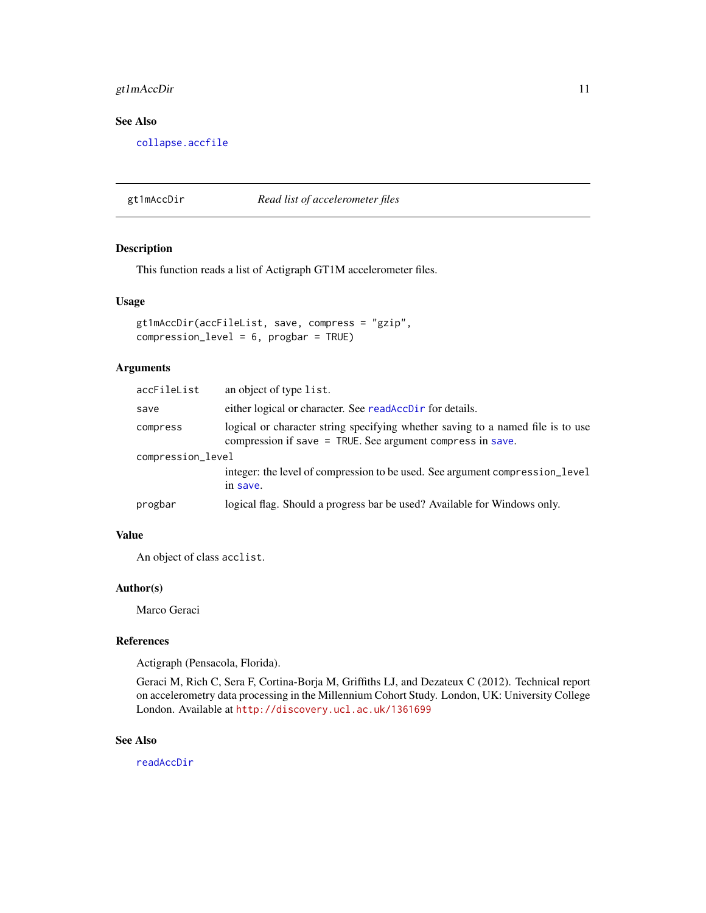## <span id="page-10-0"></span>gt1mAccDir 11

## See Also

[collapse.accfile](#page-3-1)

<span id="page-10-1"></span>gt1mAccDir *Read list of accelerometer files*

## Description

This function reads a list of Actigraph GT1M accelerometer files.

#### Usage

```
gt1mAccDir(accFileList, save, compress = "gzip",
compression_level = 6, progbar = TRUE)
```
## Arguments

| accFileList       | an object of type list.                                                                                                                         |
|-------------------|-------------------------------------------------------------------------------------------------------------------------------------------------|
| save              | either logical or character. See readAccDir for details.                                                                                        |
| compress          | logical or character string specifying whether saving to a named file is to use<br>compression if save $=$ TRUE. See argument compress in save. |
| compression_level |                                                                                                                                                 |
|                   | integer: the level of compression to be used. See argument compression_level<br>in save.                                                        |
| progbar           | logical flag. Should a progress bar be used? Available for Windows only.                                                                        |

#### Value

An object of class acclist.

## Author(s)

Marco Geraci

## References

Actigraph (Pensacola, Florida).

Geraci M, Rich C, Sera F, Cortina-Borja M, Griffiths LJ, and Dezateux C (2012). Technical report on accelerometry data processing in the Millennium Cohort Study. London, UK: University College London. Available at <http://discovery.ucl.ac.uk/1361699>

## See Also

[readAccDir](#page-22-1)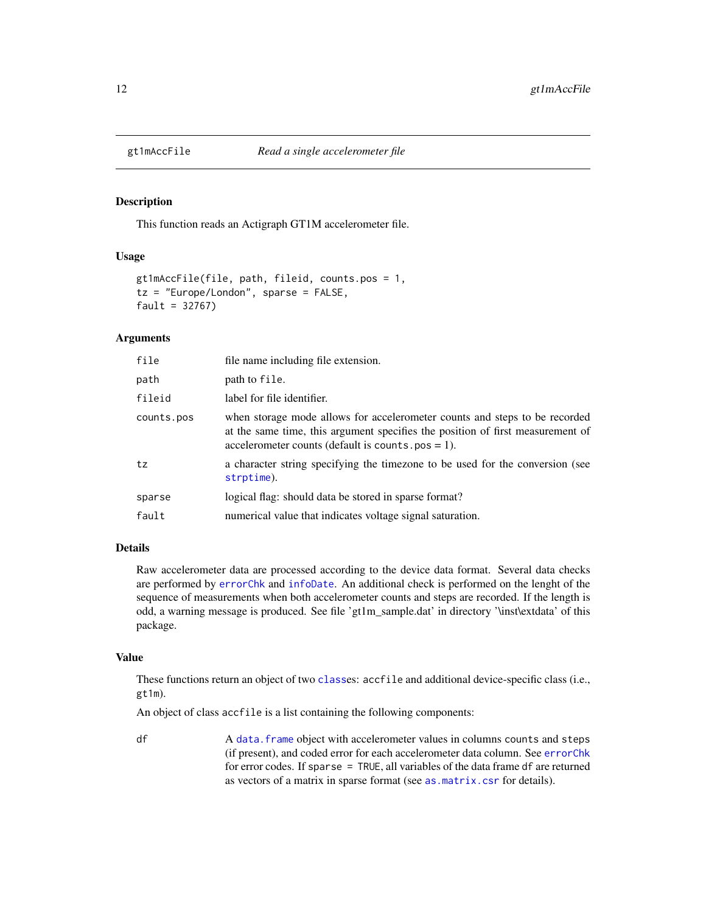<span id="page-11-1"></span><span id="page-11-0"></span>

#### Description

This function reads an Actigraph GT1M accelerometer file.

#### Usage

```
gt1mAccFile(file, path, fileid, counts.pos = 1,
tz = "Europe/London", sparse = FALSE,
fault = 32767)
```
#### **Arguments**

| file       | file name including file extension.                                                                                                                                                                                   |
|------------|-----------------------------------------------------------------------------------------------------------------------------------------------------------------------------------------------------------------------|
| path       | path to file.                                                                                                                                                                                                         |
| fileid     | label for file identifier.                                                                                                                                                                                            |
| counts.pos | when storage mode allows for accelerometer counts and steps to be recorded<br>at the same time, this argument specifies the position of first measurement of<br>accelerometer counts (default is counts. $pos = 1$ ). |
| tz         | a character string specifying the timezone to be used for the conversion (see<br>strptime).                                                                                                                           |
| sparse     | logical flag: should data be stored in sparse format?                                                                                                                                                                 |
| fault      | numerical value that indicates voltage signal saturation.                                                                                                                                                             |

#### Details

Raw accelerometer data are processed according to the device data format. Several data checks are performed by [errorChk](#page-8-1) and [infoDate](#page-0-0). An additional check is performed on the lenght of the sequence of measurements when both accelerometer counts and steps are recorded. If the length is odd, a warning message is produced. See file 'gt1m\_sample.dat' in directory '\inst\extdata' of this package.

#### Value

These functions return an object of two [class](#page-0-0)es: accfile and additional device-specific class (i.e., gt1m).

An object of class accfile is a list containing the following components:

df A data. frame object with accelerometer values in columns counts and steps (if present), and coded error for each accelerometer data column. See [errorChk](#page-8-1) for error codes. If sparse = TRUE, all variables of the data frame df are returned as vectors of a matrix in sparse format (see [as.matrix.csr](#page-0-0) for details).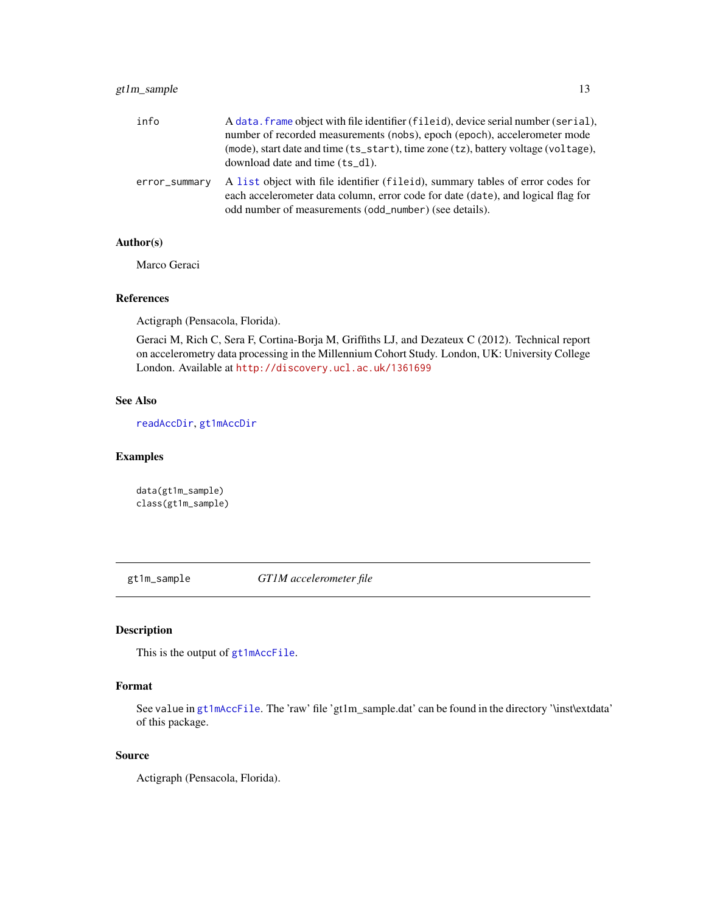## <span id="page-12-0"></span>gt1m\_sample 13

| info          | A data. frame object with file identifier (fileid), device serial number (serial),<br>number of recorded measurements (nobs), epoch (epoch), accelerometer mode<br>(mode), start date and time (ts_start), time zone (tz), battery voltage (voltage),<br>download date and time (ts_dl). |
|---------------|------------------------------------------------------------------------------------------------------------------------------------------------------------------------------------------------------------------------------------------------------------------------------------------|
| error_summary | A list object with file identifier (fileid), summary tables of error codes for<br>each accelerometer data column, error code for date (date), and logical flag for<br>odd number of measurements (odd_number) (see details).                                                             |

## Author(s)

Marco Geraci

#### References

Actigraph (Pensacola, Florida).

Geraci M, Rich C, Sera F, Cortina-Borja M, Griffiths LJ, and Dezateux C (2012). Technical report on accelerometry data processing in the Millennium Cohort Study. London, UK: University College London. Available at <http://discovery.ucl.ac.uk/1361699>

## See Also

[readAccDir](#page-22-1), [gt1mAccDir](#page-10-1)

## Examples

data(gt1m\_sample) class(gt1m\_sample)

gt1m\_sample *GT1M accelerometer file*

## Description

This is the output of [gt1mAccFile](#page-11-1).

## Format

See value in [gt1mAccFile](#page-11-1). The 'raw' file 'gt1m\_sample.dat' can be found in the directory '\inst\extdata' of this package.

## Source

Actigraph (Pensacola, Florida).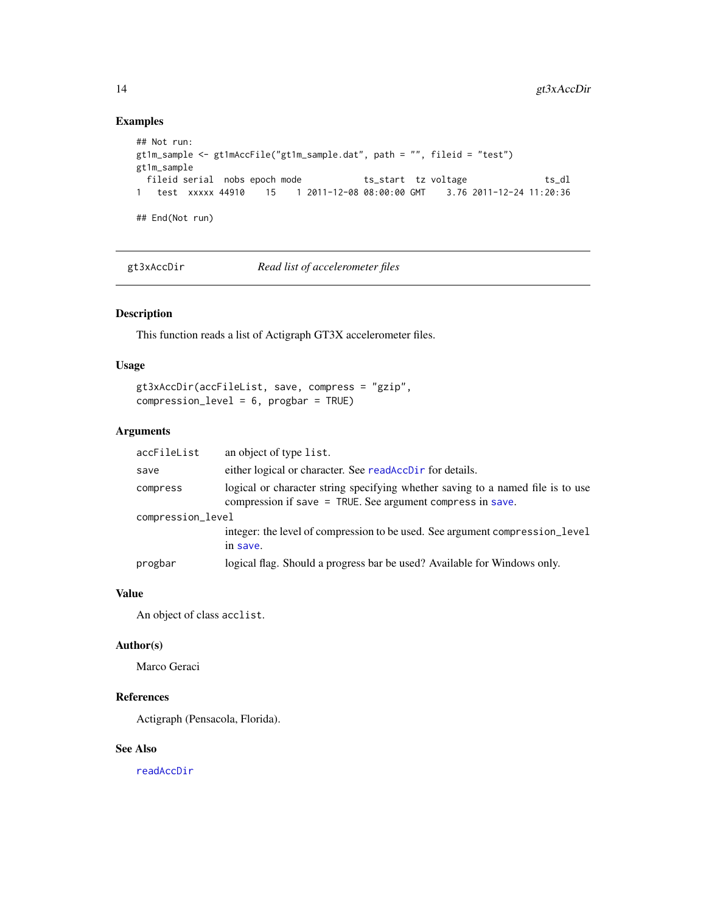## Examples

```
## Not run:
gt1m_sample <- gt1mAccFile("gt1m_sample.dat", path = "", fileid = "test")
gt1m_sample
 fileid serial nobs epoch mode ts_start tz voltage ts_dl
1 test xxxxx 44910 15 1 2011-12-08 08:00:00 GMT 3.76 2011-12-24 11:20:36
## End(Not run)
```
<span id="page-13-1"></span>gt3xAccDir *Read list of accelerometer files*

## Description

This function reads a list of Actigraph GT3X accelerometer files.

#### Usage

```
gt3xAccDir(accFileList, save, compress = "gzip",
compression_level = 6, progbar = TRUE)
```
#### Arguments

| accFileList       | an object of type list.                                                                                                                       |
|-------------------|-----------------------------------------------------------------------------------------------------------------------------------------------|
| save              | either logical or character. See readAccDir for details.                                                                                      |
| compress          | logical or character string specifying whether saving to a named file is to use<br>compression if save = TRUE. See argument compress in save. |
| compression_level |                                                                                                                                               |
|                   | integer: the level of compression to be used. See argument compression_level<br>in save.                                                      |
| progbar           | logical flag. Should a progress bar be used? Available for Windows only.                                                                      |

#### Value

An object of class acclist.

#### Author(s)

Marco Geraci

#### References

Actigraph (Pensacola, Florida).

#### See Also

[readAccDir](#page-22-1)

<span id="page-13-0"></span>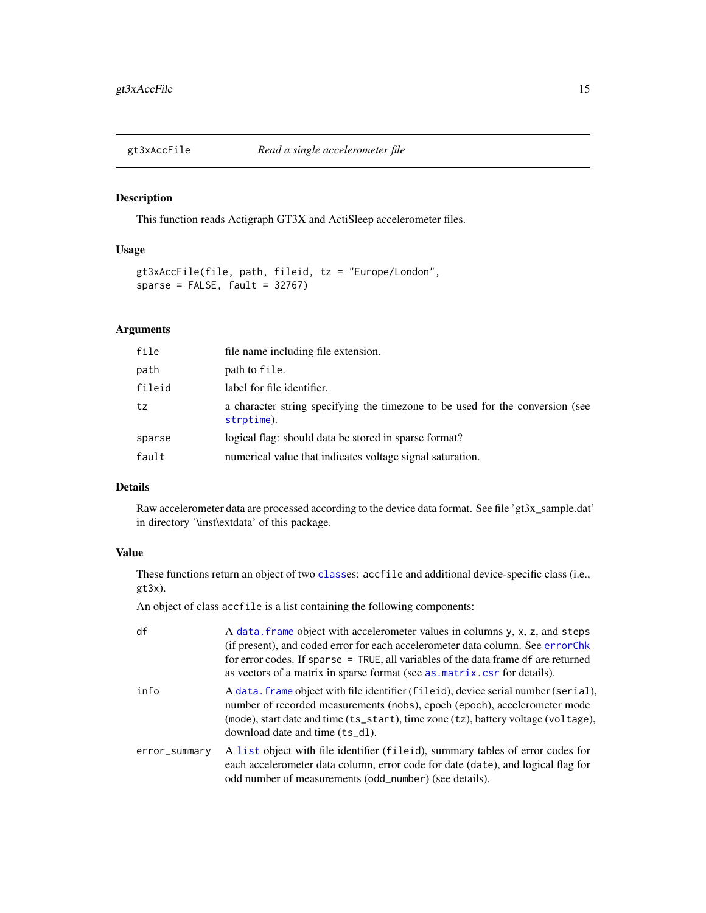<span id="page-14-1"></span><span id="page-14-0"></span>

## Description

This function reads Actigraph GT3X and ActiSleep accelerometer files.

#### Usage

```
gt3xAccFile(file, path, fileid, tz = "Europe/London",
sparse = FALSE, fault = 32767)
```
## Arguments

| file   | file name including file extension.                                                         |
|--------|---------------------------------------------------------------------------------------------|
| path   | path to file.                                                                               |
| fileid | label for file identifier.                                                                  |
| tz     | a character string specifying the timezone to be used for the conversion (see<br>strptime). |
| sparse | logical flag: should data be stored in sparse format?                                       |
| fault  | numerical value that indicates voltage signal saturation.                                   |

#### Details

Raw accelerometer data are processed according to the device data format. See file 'gt3x\_sample.dat' in directory '\inst\extdata' of this package.

## Value

These functions return an object of two [class](#page-0-0)es: accfile and additional device-specific class (i.e., gt3x).

An object of class accfile is a list containing the following components:

| df            | A data. frame object with accelerometer values in columns y, x, z, and steps<br>(if present), and coded error for each accelerometer data column. See error Chk<br>for error codes. If sparse $=$ TRUE, all variables of the data frame df are returned<br>as vectors of a matrix in sparse format (see as matrix cs for details). |
|---------------|------------------------------------------------------------------------------------------------------------------------------------------------------------------------------------------------------------------------------------------------------------------------------------------------------------------------------------|
| info          | A data. frame object with file identifier (fileid), device serial number (serial),<br>number of recorded measurements (nobs), epoch (epoch), accelerometer mode<br>(mode), start date and time (ts_start), time zone (tz), battery voltage (voltage),<br>download date and time (ts_dl).                                           |
| error_summary | A list object with file identifier (fileid), summary tables of error codes for<br>each accelerometer data column, error code for date (date), and logical flag for<br>odd number of measurements (odd_number) (see details).                                                                                                       |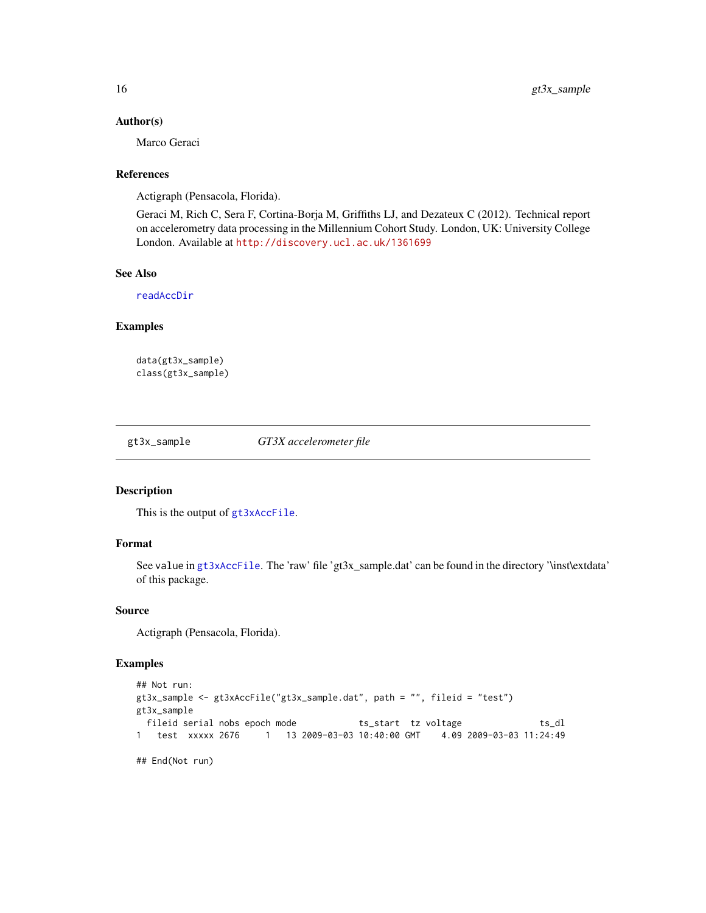#### Author(s)

Marco Geraci

## References

Actigraph (Pensacola, Florida).

Geraci M, Rich C, Sera F, Cortina-Borja M, Griffiths LJ, and Dezateux C (2012). Technical report on accelerometry data processing in the Millennium Cohort Study. London, UK: University College London. Available at <http://discovery.ucl.ac.uk/1361699>

#### See Also

[readAccDir](#page-22-1)

## Examples

data(gt3x\_sample) class(gt3x\_sample)

gt3x\_sample *GT3X accelerometer file*

#### Description

This is the output of [gt3xAccFile](#page-14-1).

## Format

See value in [gt3xAccFile](#page-14-1). The 'raw' file 'gt3x\_sample.dat' can be found in the directory '\inst\extdata' of this package.

#### Source

Actigraph (Pensacola, Florida).

#### Examples

```
## Not run:
gt3x_sample <- gt3xAccFile("gt3x_sample.dat", path = "", fileid = "test")
gt3x_sample
 fileid serial nobs epoch mode ts_start tz voltage ts_dl
1 test xxxxx 2676 1 13 2009-03-03 10:40:00 GMT 4.09 2009-03-03 11:24:49
## End(Not run)
```
<span id="page-15-0"></span>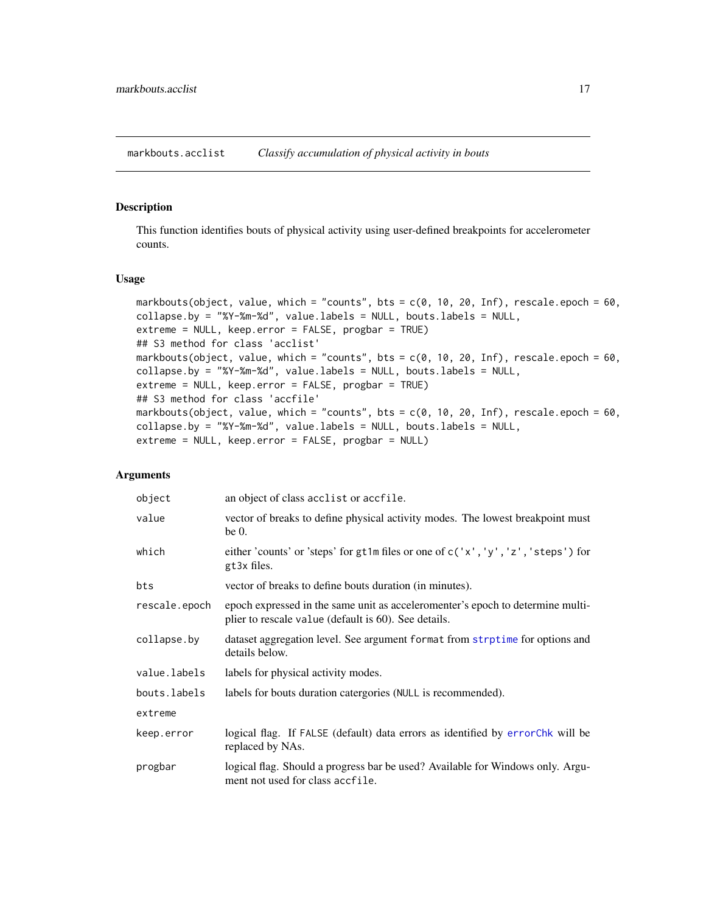<span id="page-16-0"></span>markbouts.acclist *Classify accumulation of physical activity in bouts*

#### Description

This function identifies bouts of physical activity using user-defined breakpoints for accelerometer counts.

#### Usage

```
markbouts(object, value, which = "counts", bts = c(0, 10, 20, Inf), rescale.epoch = 60,
collapse.by = "%Y-%m-%d", value.labels = NULL, bouts.labels = NULL,
extreme = NULL, keep.error = FALSE, progbar = TRUE)
## S3 method for class 'acclist'
markbouts(object, value, which = "counts", bts = c(0, 10, 20, Inf), rescale.epoch = 60,
collapse.by = "%Y-%m-%d", value.labels = NULL, bouts.labels = NULL,
extreme = NULL, keep.error = FALSE, progbar = TRUE)
## S3 method for class 'accfile'
markbouts(object, value, which = "counts", bts = c(0, 10, 20, Inf), rescale.epoch = 60,
collapse.by = "%Y-%m-%d", value.labels = NULL, bouts.labels = NULL,
extreme = NULL, keep.error = FALSE, progbar = NULL)
```
## Arguments

| object        | an object of class acclist or accfile.                                                                                                 |
|---------------|----------------------------------------------------------------------------------------------------------------------------------------|
| value         | vector of breaks to define physical activity modes. The lowest breakpoint must<br>be $0$ .                                             |
| which         | either 'counts' or 'steps' for gt1m files or one of $c('x', 'y', 'z', 'steps')$ for<br>gt3x files.                                     |
| bts           | vector of breaks to define bouts duration (in minutes).                                                                                |
| rescale.epoch | epoch expressed in the same unit as acceleromenter's epoch to determine multi-<br>plier to rescale value (default is 60). See details. |
| collapse.by   | dataset aggregation level. See argument format from strptime for options and<br>details below.                                         |
| value.labels  | labels for physical activity modes.                                                                                                    |
| bouts.labels  | labels for bouts duration catergories (NULL is recommended).                                                                           |
| extreme       |                                                                                                                                        |
| keep.error    | logical flag. If FALSE (default) data errors as identified by errorchk will be<br>replaced by NAs.                                     |
| progbar       | logical flag. Should a progress bar be used? Available for Windows only. Argu-<br>ment not used for class accfile.                     |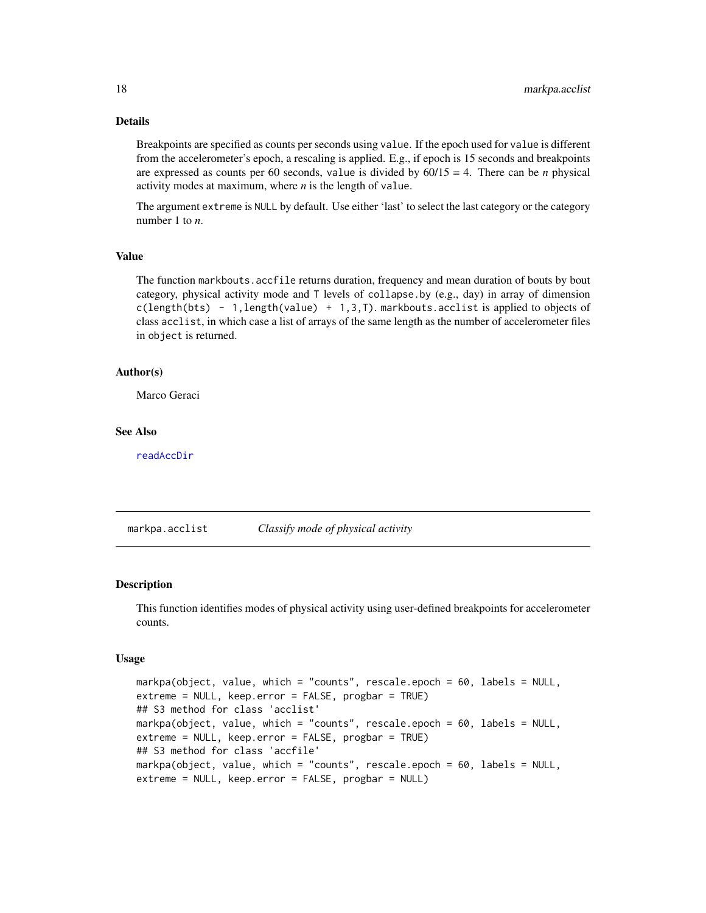## Details

Breakpoints are specified as counts per seconds using value. If the epoch used for value is different from the accelerometer's epoch, a rescaling is applied. E.g., if epoch is 15 seconds and breakpoints are expressed as counts per 60 seconds, value is divided by  $60/15 = 4$ . There can be *n* physical activity modes at maximum, where *n* is the length of value.

The argument extreme is NULL by default. Use either 'last' to select the last category or the category number 1 to *n*.

#### Value

The function markbouts.accfile returns duration, frequency and mean duration of bouts by bout category, physical activity mode and T levels of collapse.by (e.g., day) in array of dimension  $c(length(bts) - 1, length(value) + 1, 3, 7)$ . markbouts. acclist is applied to objects of class acclist, in which case a list of arrays of the same length as the number of accelerometer files in object is returned.

#### Author(s)

Marco Geraci

#### See Also

[readAccDir](#page-22-1)

markpa.acclist *Classify mode of physical activity*

## <span id="page-17-1"></span>Description

This function identifies modes of physical activity using user-defined breakpoints for accelerometer counts.

#### Usage

```
markpa(object, value, which = "counts", rescale.epoch = 60, labels = NULL,
extreme = NULL, keep.error = FALSE, progbar = TRUE)
## S3 method for class 'acclist'
markpa(object, value, which = "counts", rescale.epoch = 60, labels = NULL,
extreme = NULL, keep.error = FALSE, progbar = TRUE)
## S3 method for class 'accfile'
markpa(object, value, which = "counts", rescale.epoch = 60, labels = NULL,
extreme = NULL, keep.error = FALSE, progbar = NULL)
```
<span id="page-17-0"></span>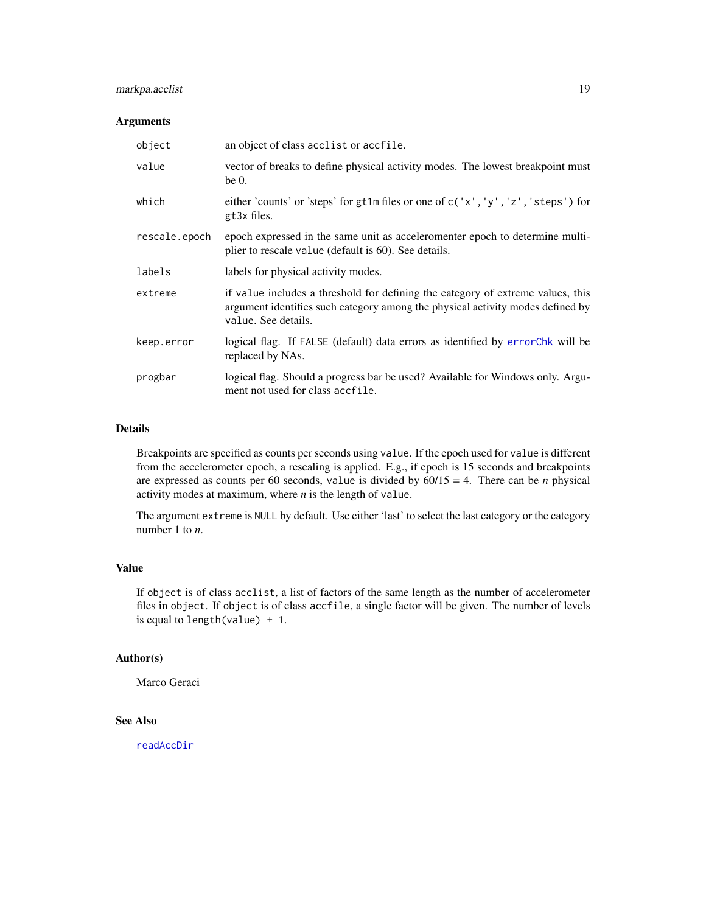## <span id="page-18-0"></span>markpa.acclist 19

#### Arguments

| object        | an object of class acclist or accfile.                                                                                                                                                   |
|---------------|------------------------------------------------------------------------------------------------------------------------------------------------------------------------------------------|
| value         | vector of breaks to define physical activity modes. The lowest breakpoint must<br>be $0$ .                                                                                               |
| which         | either 'counts' or 'steps' for gt1m files or one of c('x', 'y', 'z', 'steps') for<br>gt3x files.                                                                                         |
| rescale.epoch | epoch expressed in the same unit as acceleromenter epoch to determine multi-<br>plier to rescale value (default is 60). See details.                                                     |
| labels        | labels for physical activity modes.                                                                                                                                                      |
| extreme       | if value includes a threshold for defining the category of extreme values, this<br>argument identifies such category among the physical activity modes defined by<br>value. See details. |
| keep.error    | logical flag. If FALSE (default) data errors as identified by error Chk will be<br>replaced by NAs.                                                                                      |
| progbar       | logical flag. Should a progress bar be used? Available for Windows only. Argu-<br>ment not used for class accfile.                                                                       |

#### Details

Breakpoints are specified as counts per seconds using value. If the epoch used for value is different from the accelerometer epoch, a rescaling is applied. E.g., if epoch is 15 seconds and breakpoints are expressed as counts per 60 seconds, value is divided by  $60/15 = 4$ . There can be *n* physical activity modes at maximum, where *n* is the length of value.

The argument extreme is NULL by default. Use either 'last' to select the last category or the category number 1 to *n*.

## Value

If object is of class acclist, a list of factors of the same length as the number of accelerometer files in object. If object is of class accfile, a single factor will be given. The number of levels is equal to length(value) + 1.

## Author(s)

Marco Geraci

## See Also

[readAccDir](#page-22-1)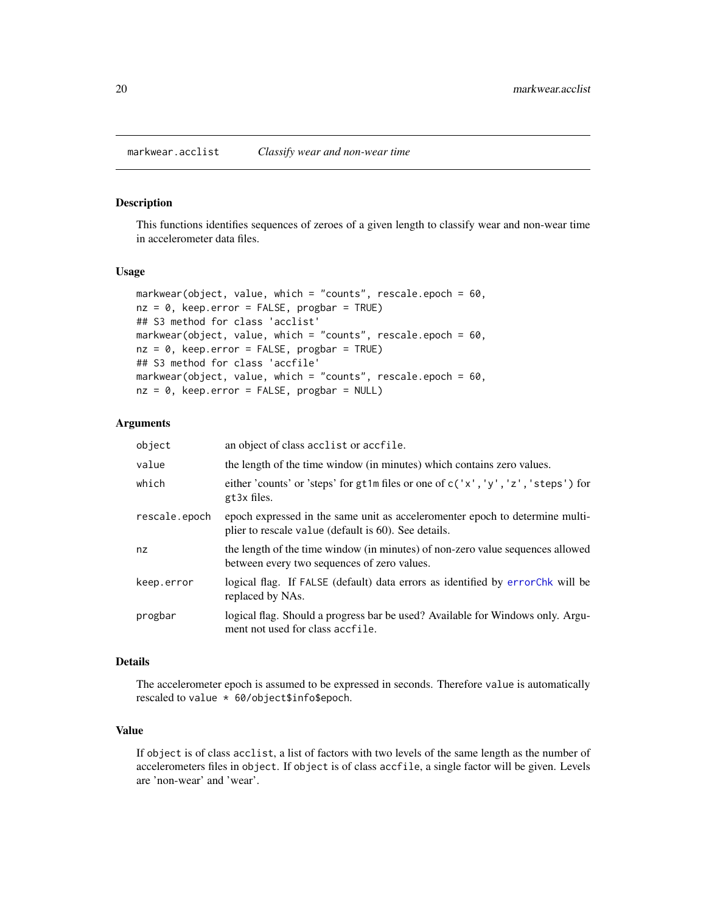<span id="page-19-0"></span>markwear.acclist *Classify wear and non-wear time*

## <span id="page-19-1"></span>Description

This functions identifies sequences of zeroes of a given length to classify wear and non-wear time in accelerometer data files.

#### Usage

```
markwear(object, value, which = "counts", rescale.epoch = 60,
nz = 0, keep.error = FALSE, progbar = TRUE)
## S3 method for class 'acclist'
markwear(object, value, which = "counts", rescale.epoch = 60,
nz = 0, keep.error = FALSE, progbar = TRUE)
## S3 method for class 'accfile'
markwear(object, value, which = "counts", rescale.epoch = 60,
nz = 0, keep.error = FALSE, progbar = NULL)
```
#### Arguments

| object        | an object of class acclist or accfile.                                                                                               |
|---------------|--------------------------------------------------------------------------------------------------------------------------------------|
| value         | the length of the time window (in minutes) which contains zero values.                                                               |
| which         | either 'counts' or 'steps' for gt1m files or one of $c('x', 'y', 'z', 'steps')$ for<br>gt3x files.                                   |
| rescale.epoch | epoch expressed in the same unit as acceleromenter epoch to determine multi-<br>plier to rescale value (default is 60). See details. |
| nz            | the length of the time window (in minutes) of non-zero value sequences allowed<br>between every two sequences of zero values.        |
| keep.error    | logical flag. If FALSE (default) data errors as identified by error Chk will be<br>replaced by NAs.                                  |
| progbar       | logical flag. Should a progress bar be used? Available for Windows only. Argu-<br>ment not used for class accfile.                   |

#### Details

The accelerometer epoch is assumed to be expressed in seconds. Therefore value is automatically rescaled to value \* 60/object\$info\$epoch.

#### Value

If object is of class acclist, a list of factors with two levels of the same length as the number of accelerometers files in object. If object is of class accfile, a single factor will be given. Levels are 'non-wear' and 'wear'.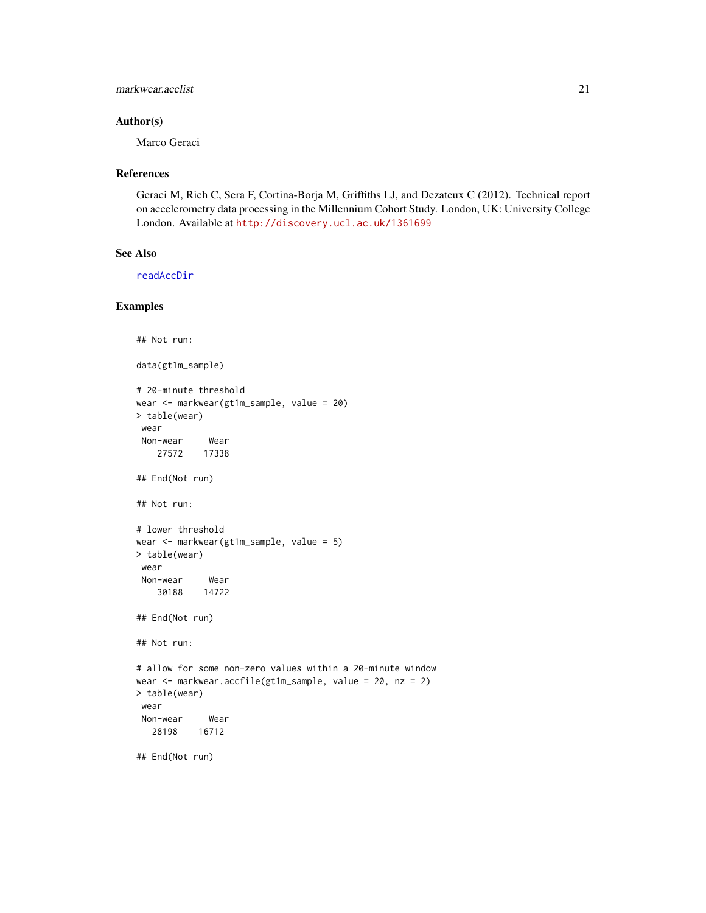#### <span id="page-20-0"></span>markwear.acclist 21

## Author(s)

Marco Geraci

#### References

Geraci M, Rich C, Sera F, Cortina-Borja M, Griffiths LJ, and Dezateux C (2012). Technical report on accelerometry data processing in the Millennium Cohort Study. London, UK: University College London. Available at <http://discovery.ucl.ac.uk/1361699>

## See Also

[readAccDir](#page-22-1)

#### Examples

```
## Not run:
```
data(gt1m\_sample)

```
# 20-minute threshold
wear <- markwear(gt1m_sample, value = 20)
> table(wear)
wear
Non-wear Wear
   27572 17338
## End(Not run)
## Not run:
# lower threshold
wear <- markwear(gt1m_sample, value = 5)
> table(wear)
wear
Non-wear Wear
   30188 14722
## End(Not run)
## Not run:
# allow for some non-zero values within a 20-minute window
wear <- markwear.accfile(gt1m_sample, value = 20, nz = 2)
> table(wear)
wear
Non-wear Wear
  28198 16712
## End(Not run)
```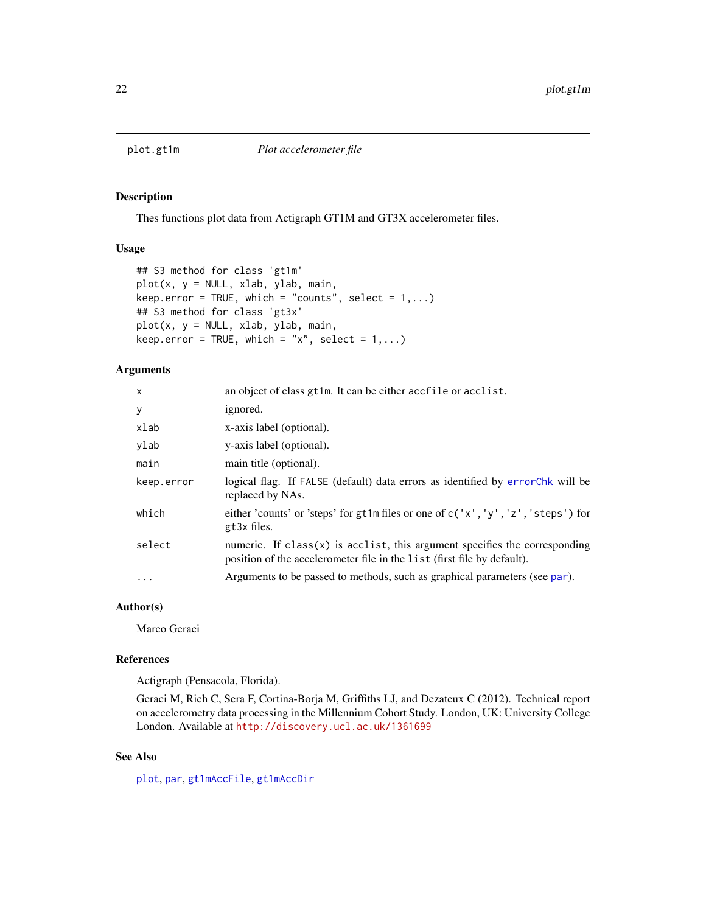<span id="page-21-0"></span>

## Description

Thes functions plot data from Actigraph GT1M and GT3X accelerometer files.

#### Usage

```
## S3 method for class 'gt1m'
plot(x, y = NULL, xlab, ylab, main,
keep.error = TRUE, which = "counts", select = 1,...)## S3 method for class 'gt3x'
plot(x, y = NULL, xlab, ylab, main,keep.error = TRUE, which = "x", select = 1,...)
```
#### Arguments

| X                 | an object of class gt1m. It can be either accfile or acclist.                                                                                           |
|-------------------|---------------------------------------------------------------------------------------------------------------------------------------------------------|
| У                 | ignored.                                                                                                                                                |
| xlab              | x-axis label (optional).                                                                                                                                |
| ylab              | y-axis label (optional).                                                                                                                                |
| main              | main title (optional).                                                                                                                                  |
| keep.error        | logical flag. If FALSE (default) data errors as identified by error Chk will be<br>replaced by NAs.                                                     |
| which             | either 'counts' or 'steps' for gt1m files or one of c('x', 'y', 'z', 'steps') for<br>gt3x files.                                                        |
| select            | numeric. If $class(x)$ is acclist, this argument specifies the corresponding<br>position of the accelerometer file in the list (first file by default). |
| $\cdot\cdot\cdot$ | Arguments to be passed to methods, such as graphical parameters (see par).                                                                              |

#### Author(s)

Marco Geraci

#### References

Actigraph (Pensacola, Florida).

Geraci M, Rich C, Sera F, Cortina-Borja M, Griffiths LJ, and Dezateux C (2012). Technical report on accelerometry data processing in the Millennium Cohort Study. London, UK: University College London. Available at <http://discovery.ucl.ac.uk/1361699>

#### See Also

[plot](#page-0-0), [par](#page-0-0), [gt1mAccFile](#page-11-1), [gt1mAccDir](#page-10-1)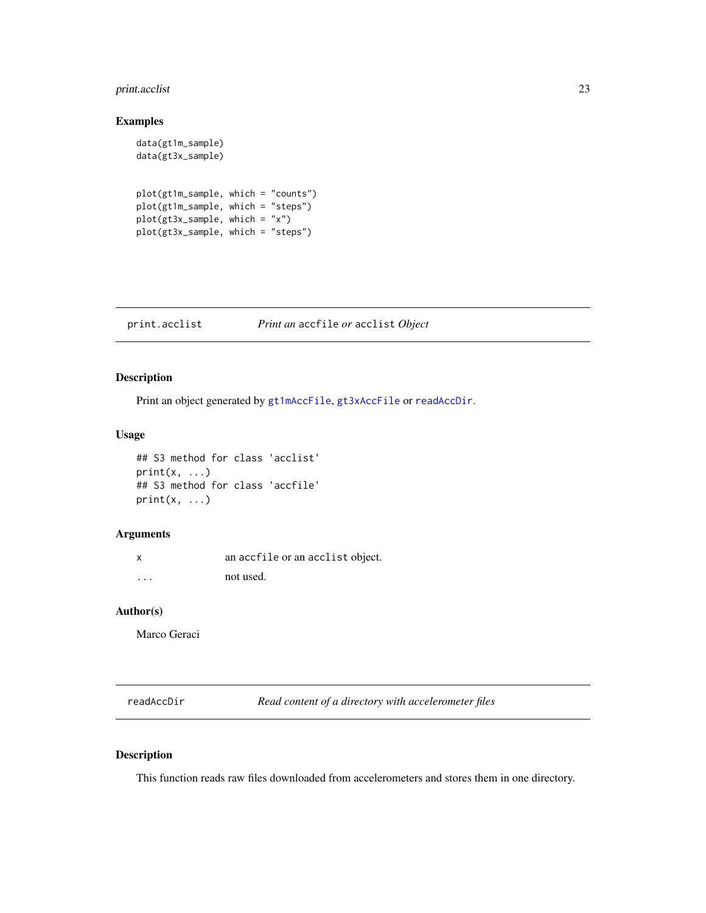## <span id="page-22-0"></span>print.acclist 23

## Examples

```
data(gt1m_sample)
data(gt3x_sample)
plot(gt1m_sample, which = "counts")
plot(gt1m_sample, which = "steps")
plot(gt3x_sample, which = "x")
plot(gt3x_sample, which = "steps")
```
print.acclist *Print an* accfile *or* acclist *Object*

## Description

Print an object generated by [gt1mAccFile](#page-11-1), [gt3xAccFile](#page-14-1) or [readAccDir](#page-22-1).

#### Usage

```
## S3 method for class 'acclist'
print(x, \ldots)## S3 method for class 'accfile'
print(x, \ldots)
```
#### Arguments

x an accfile or an acclist object. ... not used.

#### Author(s)

Marco Geraci

<span id="page-22-1"></span>readAccDir *Read content of a directory with accelerometer files*

## Description

This function reads raw files downloaded from accelerometers and stores them in one directory.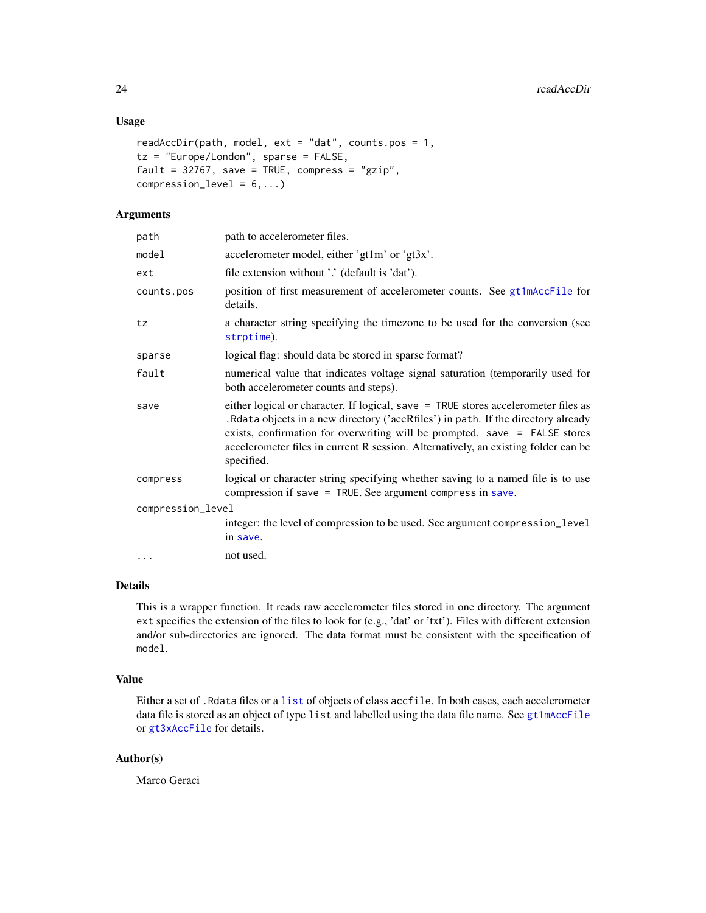## Usage

```
readAccDir(path, model, ext{ ext} = "dat", counts.pos = 1,tz = "Europe/London", sparse = FALSE,
fault = 32767, save = TRUE, compress = "gzip",
compression = 6,...)
```
## Arguments

| path              | path to accelerometer files.                                                                                                                                                                                                                                                                                                                                 |  |
|-------------------|--------------------------------------------------------------------------------------------------------------------------------------------------------------------------------------------------------------------------------------------------------------------------------------------------------------------------------------------------------------|--|
| model             | accelerometer model, either 'gt1m' or 'gt3x'.                                                                                                                                                                                                                                                                                                                |  |
| ext               | file extension without '.' (default is 'dat').                                                                                                                                                                                                                                                                                                               |  |
| counts.pos        | position of first measurement of accelerometer counts. See gt1mAccFile for<br>details.                                                                                                                                                                                                                                                                       |  |
| tz                | a character string specifying the timezone to be used for the conversion (see<br>strptime).                                                                                                                                                                                                                                                                  |  |
| sparse            | logical flag: should data be stored in sparse format?                                                                                                                                                                                                                                                                                                        |  |
| fault             | numerical value that indicates voltage signal saturation (temporarily used for<br>both accelerometer counts and steps).                                                                                                                                                                                                                                      |  |
| save              | either logical or character. If logical, save = TRUE stores accelerometer files as<br>. Rdata objects in a new directory ('accRfiles') in path. If the directory already<br>exists, confirmation for overwriting will be prompted. save $=$ FALSE stores<br>accelerometer files in current R session. Alternatively, an existing folder can be<br>specified. |  |
| compress          | logical or character string specifying whether saving to a named file is to use<br>compression if save = TRUE. See argument compress in save.                                                                                                                                                                                                                |  |
| compression_level |                                                                                                                                                                                                                                                                                                                                                              |  |
|                   | integer: the level of compression to be used. See argument compression_level<br>in save.                                                                                                                                                                                                                                                                     |  |
| .                 | not used.                                                                                                                                                                                                                                                                                                                                                    |  |
|                   |                                                                                                                                                                                                                                                                                                                                                              |  |

## Details

This is a wrapper function. It reads raw accelerometer files stored in one directory. The argument ext specifies the extension of the files to look for (e.g., 'dat' or 'txt'). Files with different extension and/or sub-directories are ignored. The data format must be consistent with the specification of model.

#### Value

Either a set of .Rdata files or a [list](#page-0-0) of objects of class accfile. In both cases, each accelerometer data file is stored as an object of type list and labelled using the data file name. See [gt1mAccFile](#page-11-1) or [gt3xAccFile](#page-14-1) for details.

#### Author(s)

Marco Geraci

<span id="page-23-0"></span>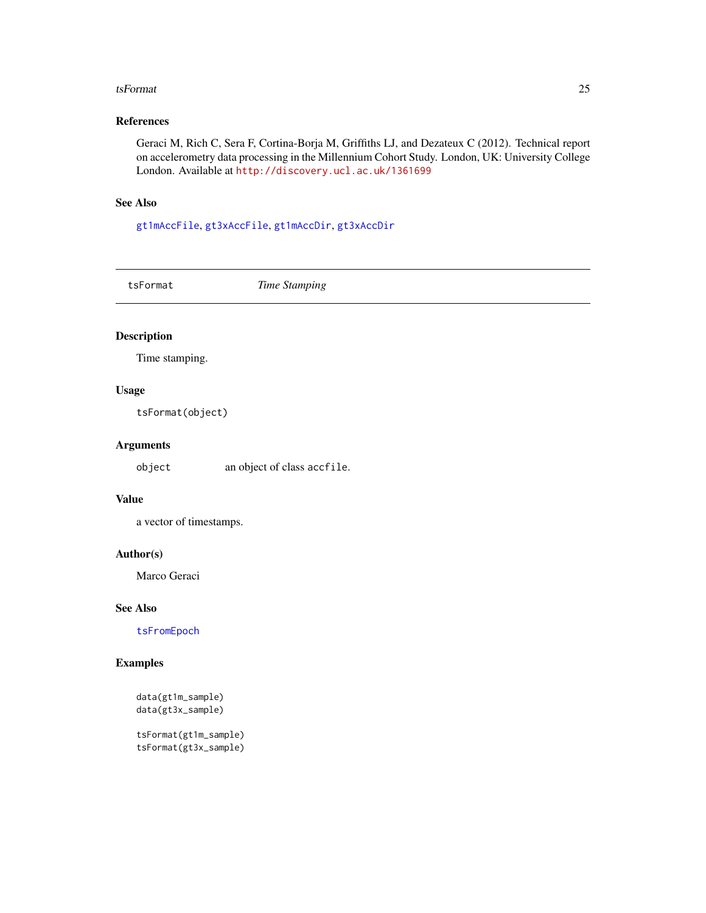#### <span id="page-24-0"></span>tsFormat 25

## References

Geraci M, Rich C, Sera F, Cortina-Borja M, Griffiths LJ, and Dezateux C (2012). Technical report on accelerometry data processing in the Millennium Cohort Study. London, UK: University College London. Available at <http://discovery.ucl.ac.uk/1361699>

## See Also

[gt1mAccFile](#page-11-1), [gt3xAccFile](#page-14-1), [gt1mAccDir](#page-10-1), [gt3xAccDir](#page-13-1)

tsFormat *Time Stamping*

## Description

Time stamping.

#### Usage

tsFormat(object)

## Arguments

object an object of class accfile.

#### Value

a vector of timestamps.

#### Author(s)

Marco Geraci

#### See Also

[tsFromEpoch](#page-25-1)

#### Examples

```
data(gt1m_sample)
data(gt3x_sample)
```
tsFormat(gt1m\_sample) tsFormat(gt3x\_sample)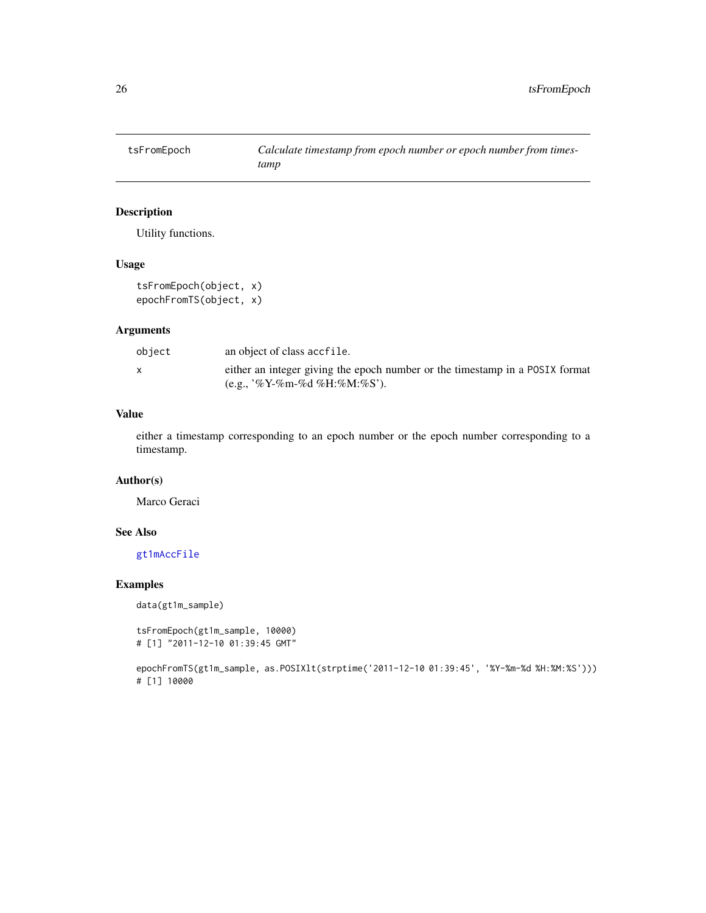<span id="page-25-1"></span><span id="page-25-0"></span>

## Description

Utility functions.

#### Usage

tsFromEpoch(object, x) epochFromTS(object, x)

## Arguments

| object | an object of class accfile.                                                  |
|--------|------------------------------------------------------------------------------|
|        | either an integer giving the epoch number or the timestamp in a POSIX format |
|        | $(e.g., '%Y-\%m-\%d\%H:\%M:\%S').$                                           |

#### Value

either a timestamp corresponding to an epoch number or the epoch number corresponding to a timestamp.

#### Author(s)

Marco Geraci

## See Also

[gt1mAccFile](#page-11-1)

## Examples

data(gt1m\_sample)

```
tsFromEpoch(gt1m_sample, 10000)
# [1] "2011-12-10 01:39:45 GMT"
```

```
epochFromTS(gt1m_sample, as.POSIXlt(strptime('2011-12-10 01:39:45', '%Y-%m-%d %H:%M:%S')))
# [1] 10000
```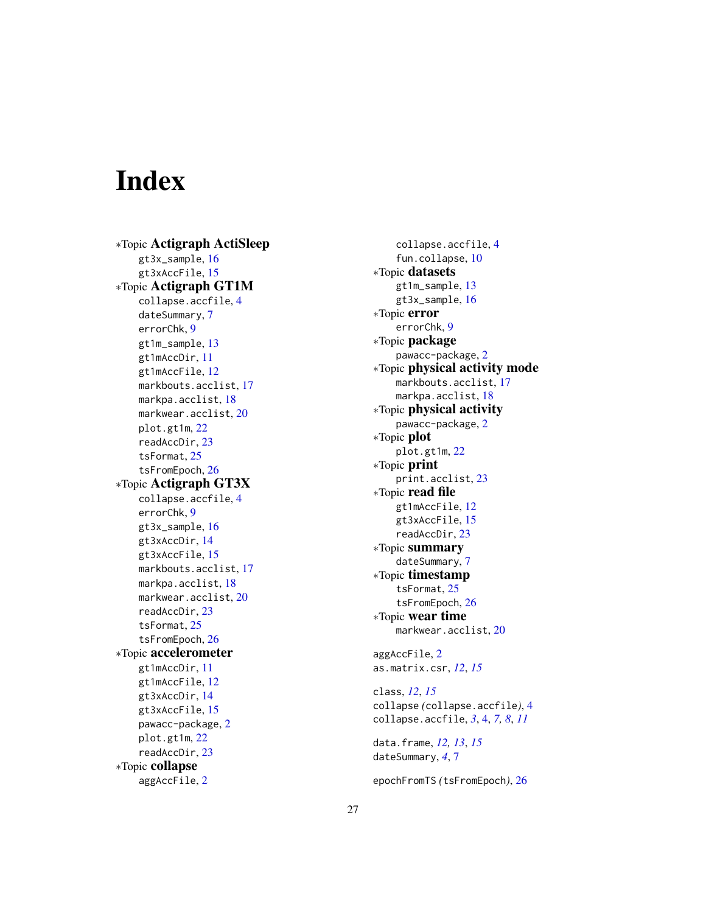# <span id="page-26-0"></span>**Index**

∗Topic Actigraph ActiSleep gt3x\_sample,[16](#page-15-0) gt3xAccFile, [15](#page-14-0) ∗Topic Actigraph GT1M collapse.accfile , [4](#page-3-0) dateSummary , [7](#page-6-0) errorChk , [9](#page-8-0) gt1m\_sample, [13](#page-12-0) gt1mAccDir , [11](#page-10-0) gt1mAccFile , [12](#page-11-0) markbouts.acclist , [17](#page-16-0) markpa.acclist , [18](#page-17-0) markwear.acclist, [20](#page-19-0) plot.gt1m , [22](#page-21-0) readAccDir , [23](#page-22-0) tsFormat , [25](#page-24-0) tsFromEpoch , [26](#page-25-0) ∗Topic Actigraph GT3X collapse.accfile , [4](#page-3-0) errorChk , [9](#page-8-0) gt3x\_sample, [16](#page-15-0) gt3xAccDir , [14](#page-13-0) gt3xAccFile,1<mark>5</mark> markbouts.acclist , [17](#page-16-0) markpa.acclist , [18](#page-17-0) <code>markwear.acclist</code>, $20$ readAccDir , [23](#page-22-0) tsFormat , [25](#page-24-0) tsFromEpoch , [26](#page-25-0) ∗Topic accelerometer gt1mAccDir , [11](#page-10-0) gt1mAccFile, [12](#page-11-0) gt3xAccDir , [14](#page-13-0) gt3xAccFile,1<mark>5</mark> pawacc-package , [2](#page-1-0) plot.gt1m , [22](#page-21-0) readAccDir , [23](#page-22-0) ∗Topic collapse aggAccFile , [2](#page-1-0)

collapse.accfile , [4](#page-3-0) fun.collapse , [10](#page-9-0) ∗Topic datasets gt1m\_sample , [13](#page-12-0) gt3x\_sample,[16](#page-15-0) ∗Topic error errorChk , [9](#page-8-0) ∗Topic package pawacc-package , [2](#page-1-0) ∗Topic physical activity mode markbouts.acclist , [17](#page-16-0) markpa.acclist , [18](#page-17-0) ∗Topic physical activity pawacc-package , [2](#page-1-0) ∗Topic plot plot.gt1m , [22](#page-21-0) ∗Topic print print.acclist , [23](#page-22-0) ∗Topic read file gt1mAccFile , [12](#page-11-0) gt3xAccFile, [15](#page-14-0) readAccDir , [23](#page-22-0) ∗Topic summary dateSummary, [7](#page-6-0) ∗Topic timestamp tsFormat , [25](#page-24-0) tsFromEpoch , [26](#page-25-0) ∗Topic wear time <code>markwear.acclist</code>, $20$ aggAccFile , [2](#page-1-0) as.matrix.csr , *[12](#page-11-0)* , *[15](#page-14-0)* class , *[12](#page-11-0)* , *[15](#page-14-0)* collapse *(*collapse.accfile *)* , [4](#page-3-0) collapse.accfile , *[3](#page-2-0)* , [4](#page-3-0) , *[7,](#page-6-0) [8](#page-7-0)* , *[11](#page-10-0)* data.frame , *[12](#page-11-0) , [13](#page-12-0)* , *[15](#page-14-0)* dateSummary , *[4](#page-3-0)* , [7](#page-6-0)

epochFromTS *(*tsFromEpoch *)* , [26](#page-25-0)